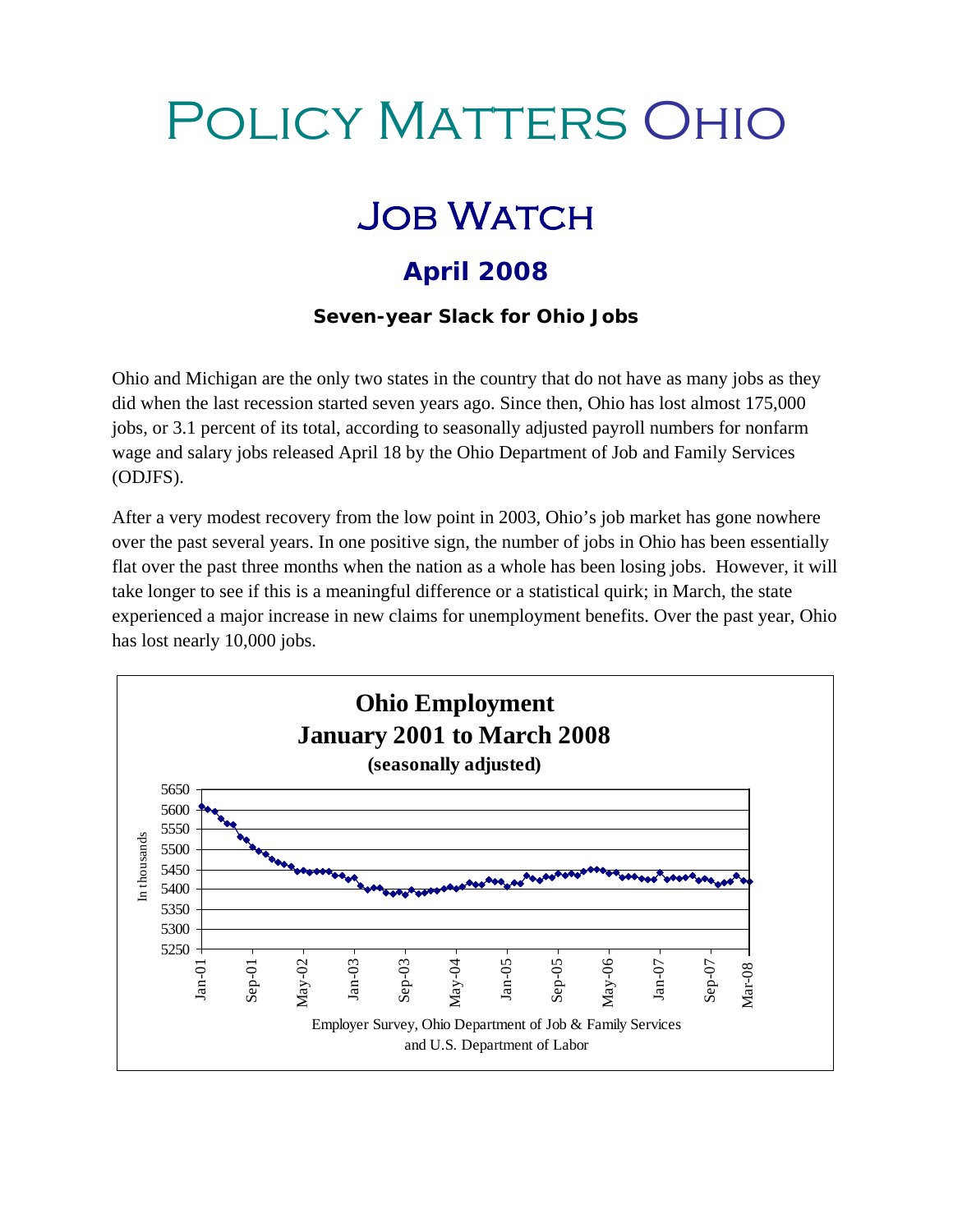## Policy Matters Ohio

## **JOB WATCH**

## **April 2008**

**Seven-year Slack for Ohio Jobs** 

Ohio and Michigan are the only two states in the country that do not have as many jobs as they did when the last recession started seven years ago. Since then, Ohio has lost almost 175,000 jobs, or 3.1 percent of its total, according to seasonally adjusted payroll numbers for nonfarm wage and salary jobs released April 18 by the Ohio Department of Job and Family Services (ODJFS).

After a very modest recovery from the low point in 2003, Ohio's job market has gone nowhere over the past several years. In one positive sign, the number of jobs in Ohio has been essentially flat over the past three months when the nation as a whole has been losing jobs. However, it will take longer to see if this is a meaningful difference or a statistical quirk; in March, the state experienced a major increase in new claims for unemployment benefits. Over the past year, Ohio has lost nearly 10,000 jobs.